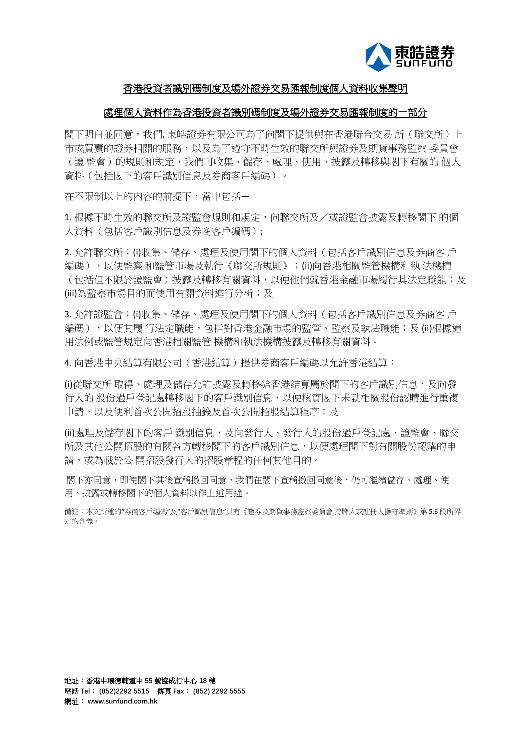

# 香港投資者識別碼制度及場外證券交易匯報制度個人資料收集聲明

## 處理個人資料作為香港投資者識別碼制度及場外證券交易匯報制度的一部分

閣下明白並同意,我們, 東皓證券有限公司為了向閣下提供與在香港聯合交易 所(聯交所)上 市或買賣的證券相關的服務,以及為了遵守不時生效的聯交所與證券及期貨事務監察 委員會 (證 監會)的規則和規定,我們可收集、儲存、處理、使用、披露及轉移與閣下有關的 個人 資料(包括閣下的客戶識別信息及券商客戶編碼)。

在不限制以上的內容的前提下,當中包括—

1. 根據不時生效的聯交所及證監會規則和規定,向聯交所及/或證監會披露及轉移閣下 的個 人資料(包括客戶識別信息及券商客戶編碼);

2. 允許聯交所:(i)收集、儲存、處理及使用閣下的個人資料(包括客戶識別信息及券商客 戶 編碼), 以便監察 和監管市場及執行《聯交所規則》;(ii)向香港相關監管機構和執 法機構 (包括但不限於證監會)披露及轉移有關資料,以便他們就香港金融市場履行其法定職能;及 (iii)為監察市場目的而使用有關資料進行分析;及

3. 允許證監會:(i)收集、儲存、處理及使用閣下的個人資料(包括客戶識別信息及券商客 戶 編碼),以便其履 行法定職能,包括對香港金融市場的監管、監察及執法職能;及 (ii)根據適 用法例或監管規定向香港相關監管 機構和執法機構披露及轉移有關資料。

4. 向香港中央結算有限公司(香港結算)提供券商客戶編碼以允許香港結算:

(i)從聯交所 取得、處理及儲存允許披露及轉移給香港結算屬於閣下的客戶識別信息,及向發 行人的 股份過戶登記處轉移閣下的客戶識別信息,以便核實閣下未就相關股份認購進行重複 申請,以及便利首次公開招股抽籤及首次公開招股結算程序;及

(ii)處理及儲存閣下的客戶 識別信息,及向發行人、發行人的股份過戶登記處、證監會、聯交 所及其他公開招股的有關各方轉移閣下的客戶識別信息,以便處理閣下對有關股份認購的申 請,或為載於公 開招股發行人的招股章程的任何其他目的。

閣下亦同意,即使閣下其後宣稱撤回同意,我們在閣下宣稱撤回同意後,仍可繼續儲存、處理、使 用、披露或轉移閣下的個人資料以作上述用途。

備註:本文所述的"券商客戶編碼"及"客戶識別信息"具有《證券及期貨事務監察委員會 持牌人或註冊人操守準則》第 5.6 段所界 定的含義。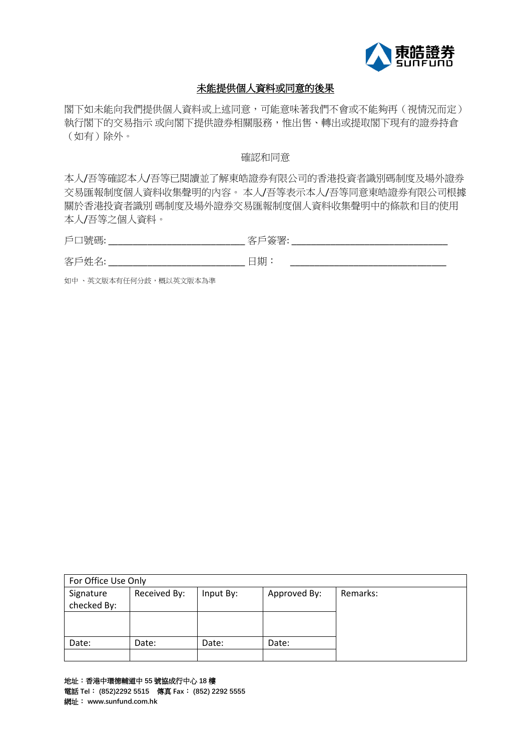

# 未能提供個人資料或同意的後果

閣下如未能向我們提供個人資料或上述同意,可能意味著我們不會或不能夠再(視情況而定) 執行閣下的交易指示 或向閣下提供證券相關服務,惟出售、轉出或提取閣下現有的證券持倉 (如有)除外。

### 確認和同意

本人/吾等確認本人/吾等已閱讀並了解東皓證券有限公司的香港投資者識別碼制度及場外證券 交易匯報制度個人資料收集聲明的內容。 本人/吾等表示本人/吾等同意東皓證券有限公司根據 關於香港投資者識別 碼制度及場外證券交易匯報制度個人資料收集聲明中的條款和目的使用 本人/吾等之個人資料。

戶口號碼: \_\_\_\_\_\_\_\_\_\_\_\_\_\_\_\_\_\_\_\_\_\_\_\_\_\_\_\_ 客戶簽署: \_\_\_\_\_\_\_\_\_\_\_\_\_\_\_\_\_\_\_\_\_\_\_\_\_\_\_\_\_\_\_\_

客戶姓名: \_\_\_\_\_\_\_\_\_\_\_\_\_\_\_\_\_\_\_\_\_\_\_\_\_\_\_\_ 日期: \_\_\_\_\_\_\_\_\_\_\_\_\_\_\_\_\_\_\_\_\_\_\_\_\_\_\_\_\_\_\_\_

如中 、英文版本有任何分歧,概以英文版本為準

| For Office Use Only |              |           |              |          |  |  |  |
|---------------------|--------------|-----------|--------------|----------|--|--|--|
| Signature           | Received By: | Input By: | Approved By: | Remarks: |  |  |  |
| checked By:         |              |           |              |          |  |  |  |
|                     |              |           |              |          |  |  |  |
|                     |              |           |              |          |  |  |  |
| Date:               | Date:        | Date:     | Date:        |          |  |  |  |
|                     |              |           |              |          |  |  |  |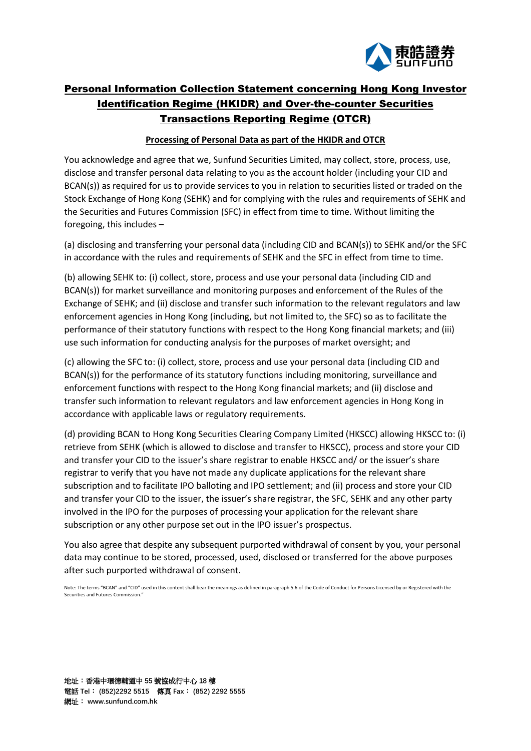

# Personal Information Collection Statement concerning Hong Kong Investor Identification Regime (HKIDR) and Over-the-counter Securities Transactions Reporting Regime (OTCR)

### **Processing of Personal Data as part of the HKIDR and OTCR**

You acknowledge and agree that we, Sunfund Securities Limited, may collect, store, process, use, disclose and transfer personal data relating to you as the account holder (including your CID and BCAN(s)) as required for us to provide services to you in relation to securities listed or traded on the Stock Exchange of Hong Kong (SEHK) and for complying with the rules and requirements of SEHK and the Securities and Futures Commission (SFC) in effect from time to time. Without limiting the foregoing, this includes –

(a) disclosing and transferring your personal data (including CID and BCAN(s)) to SEHK and/or the SFC in accordance with the rules and requirements of SEHK and the SFC in effect from time to time.

(b) allowing SEHK to: (i) collect, store, process and use your personal data (including CID and BCAN(s)) for market surveillance and monitoring purposes and enforcement of the Rules of the Exchange of SEHK; and (ii) disclose and transfer such information to the relevant regulators and law enforcement agencies in Hong Kong (including, but not limited to, the SFC) so as to facilitate the performance of their statutory functions with respect to the Hong Kong financial markets; and (iii) use such information for conducting analysis for the purposes of market oversight; and

(c) allowing the SFC to: (i) collect, store, process and use your personal data (including CID and BCAN(s)) for the performance of its statutory functions including monitoring, surveillance and enforcement functions with respect to the Hong Kong financial markets; and (ii) disclose and transfer such information to relevant regulators and law enforcement agencies in Hong Kong in accordance with applicable laws or regulatory requirements.

(d) providing BCAN to Hong Kong Securities Clearing Company Limited (HKSCC) allowing HKSCC to: (i) retrieve from SEHK (which is allowed to disclose and transfer to HKSCC), process and store your CID and transfer your CID to the issuer's share registrar to enable HKSCC and/ or the issuer's share registrar to verify that you have not made any duplicate applications for the relevant share subscription and to facilitate IPO balloting and IPO settlement; and (ii) process and store your CID and transfer your CID to the issuer, the issuer's share registrar, the SFC, SEHK and any other party involved in the IPO for the purposes of processing your application for the relevant share subscription or any other purpose set out in the IPO issuer's prospectus.

You also agree that despite any subsequent purported withdrawal of consent by you, your personal data may continue to be stored, processed, used, disclosed or transferred for the above purposes after such purported withdrawal of consent.

Note: The terms "BCAN" and "CID" used in this content shall bear the meanings as defined in paragraph 5.6 of the Code of Conduct for Persons Licensed by or Registered with the Securities and Futures Commission."